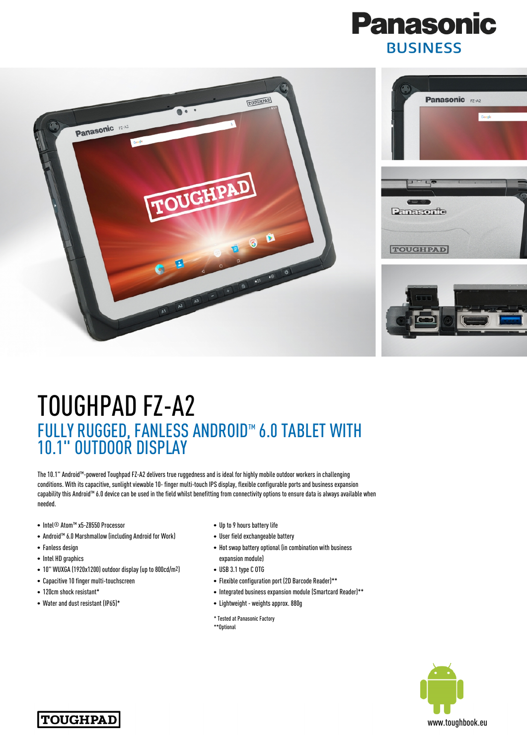



## TOUGHPAD FZ-A2 FULLY RUGGED, FANLESS ANDROID™ 6.0 TABLET WITH 10.1" OUTDOOR DISPLAY

The 10.1" Android™-powered Toughpad FZ-A2 delivers true ruggedness and is ideal for highly mobile outdoor workers in challenging conditions. With its capacitive, sunlight viewable 10- finger multi-touch IPS display, flexible configurable ports and business expansion capability this Android™ 6.0 device can be used in the field whilst benefitting from connectivity options to ensure data is always available when needed.

- Intel® Atom™ x5-Z8550 Processor
- Android™ 6.0 Marshmallow (including Android for Work)
- Fanless design
- Intel HD graphics
- 10" WUXGA (1920x1200) outdoor display (up to 800cd/m2)
- Capacitive 10 finger multi-touchscreen
- 120cm shock resistant\*
- Water and dust resistant (IP65)\*
- Up to 9 hours battery life
- User field exchangeable battery
- Hot swap battery optional (in combination with business expansion module)
- USB 3.1 type C OTG
- Flexible configuration port (2D Barcode Reader)\*\*
- Integrated business expansion module (Smartcard Reader)\*\*
- Lightweight weights approx. 880g
- \* Tested at Panasonic Factory \*\*Optional